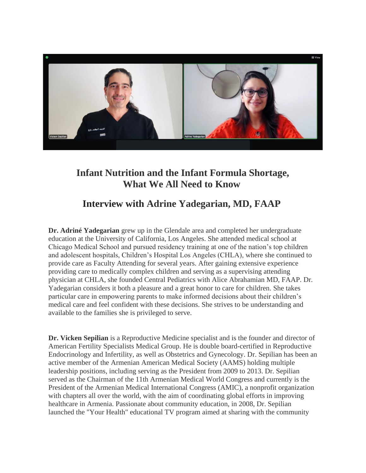

## **Infant Nutrition and the Infant Formula Shortage, What We All Need to Know**

## **Interview with Adrine Yadegarian, MD, FAAP**

**Dr. Adriné Yadegarian** grew up in the Glendale area and completed her undergraduate education at the University of California, Los Angeles. She attended medical school at Chicago Medical School and pursued residency training at one of the nation's top children and adolescent hospitals, Children's Hospital Los Angeles (CHLA), where she continued to provide care as Faculty Attending for several years. After gaining extensive experience providing care to medically complex children and serving as a supervising attending physician at CHLA, she founded Central Pediatrics with Alice Abrahamian MD, FAAP. Dr. Yadegarian considers it both a pleasure and a great honor to care for children. She takes particular care in empowering parents to make informed decisions about their children's medical care and feel confident with these decisions. She strives to be understanding and available to the families she is privileged to serve.

**Dr. Vicken Sepilian** is a Reproductive Medicine specialist and is the founder and director of American Fertility Specialists Medical Group. He is double board-certified in Reproductive Endocrinology and Infertility, as well as Obstetrics and Gynecology. Dr. Sepilian has been an active member of the Armenian American Medical Society (AAMS) holding multiple leadership positions, including serving as the President from 2009 to 2013. Dr. Sepilian served as the Chairman of the 11th Armenian Medical World Congress and currently is the President of the Armenian Medical International Congress (AMIC), a nonprofit organization with chapters all over the world, with the aim of coordinating global efforts in improving healthcare in Armenia. Passionate about community education, in 2008, Dr. Sepilian launched the "Your Health" educational TV program aimed at sharing with the community